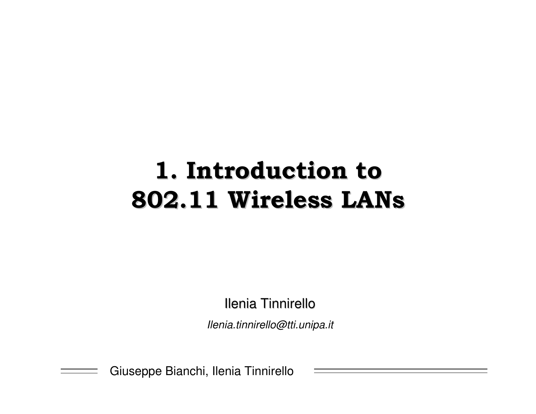# **1. Introduction to 802.11 Wireless LANs**

Ilenia Tinnirello

*Ilenia.tinnirello@tti.unipa.it*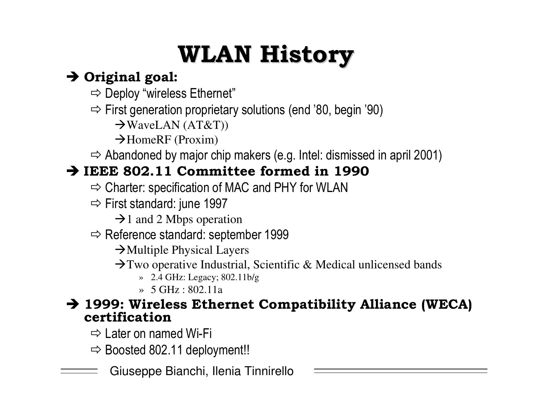# **WLAN History**

#### $\rightarrow$  Original goal:

- $\Rightarrow$  Deploy "wireless Ethernet"
- $\Rightarrow$  First generation proprietary solutions (end '80, begin '90)

 $\rightarrow$ WaveLAN (AT&T))

 $\rightarrow$ HomeRF (Proxim)

 $\Rightarrow$  Abandoned by major chip makers (e.g. Intel: dismissed in april 2001)

#### $\rightarrow$  IEEE 802.11 Committee formed in 1990

- $\Rightarrow$  Charter: specification of MAC and PHY for WLAN
- $\Rightarrow$  First standard: june 1997

 $\rightarrow$  1 and 2 Mbps operation

 $\Rightarrow$  Reference standard: september 1999

 $\rightarrow$  Multiple Physical Layers

- $\rightarrow$  Two operative Industrial, Scientific & Medical unlicensed bands
	- $\rightarrow$  2.4 GHz: Legacy; 802.11b/g
	- $\rightarrow$  5 GHz : 802.11a

#### $\rightarrow$  1999: Wireless Ethernet Compatibility Alliance (WECA) certification

 $\Rightarrow$  Later on named Wi-Fi

 $\Rightarrow$  Boosted 802.11 deployment!!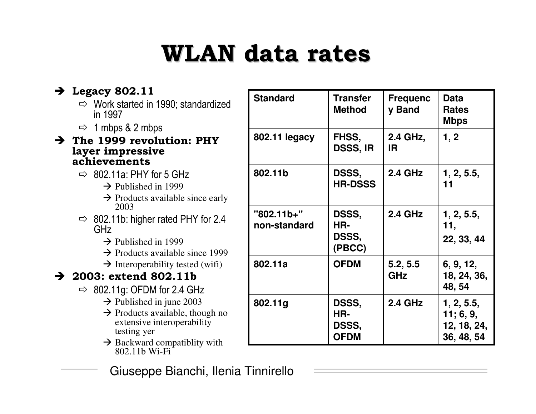# **WLAN** data rates

#### $\rightarrow$  Legacy 802.11

- $\Rightarrow$  Work started in 1990; standardized in 1997
- $\Rightarrow$  1 mbps & 2 mbps
- $\rightarrow$  The 1999 revolution: PHY layer impressive achievements
	- $\Rightarrow$  802.11a: PHY for 5 GHz
		- $\rightarrow$  Published in 1999
		- $\rightarrow$  Products available since early 2003
	- $\Rightarrow$  802.11b: higher rated PHY for 2.4 GHz
		- $\rightarrow$  Published in 1999
		- $\rightarrow$  Products available since 1999
		- $\rightarrow$  Interoperability tested (wifi)

#### $\rightarrow$  2003: extend 802.11b

- $\Rightarrow$  802.11g: OFDM for 2.4 GHz
	- $\rightarrow$  Published in june 2003
	- $\rightarrow$  Products available, though no extensive interoperability testing yer
	- $\rightarrow$  Backward compatiblity with 802.11b Wi-Fi
	- Giuseppe Bianchi, Ilenia Tinnirello

| <b>Standard</b>            | <b>Transfer</b><br><b>Method</b>     | <b>Frequenc</b><br>y Band | <b>Data</b><br><b>Rates</b><br><b>Mbps</b>           |
|----------------------------|--------------------------------------|---------------------------|------------------------------------------------------|
| 802.11 legacy              | FHSS,<br><b>DSSS, IR</b>             | 2.4 GHz,<br>IR.           | 1, 2                                                 |
| 802.11b                    | DSSS,<br><b>HR-DSSS</b>              | <b>2.4 GHz</b>            | 1, 2, 5.5,<br>11                                     |
| "802.11b+"<br>non-standard | DSSS,<br>HR-<br>DSSS,<br>(PBCC)      | <b>2.4 GHz</b>            | 1, 2, 5.5,<br>11,<br>22, 33, 44                      |
| 802.11a                    | <b>OFDM</b>                          | 5.2, 5.5<br>GHz           | 6, 9, 12,<br>18, 24, 36,<br>48, 54                   |
| 802.11g                    | DSSS,<br>HR-<br>DSSS,<br><b>OFDM</b> | 2.4 GHz                   | 1, 2, 5.5,<br>11; 6, 9,<br>12, 18, 24,<br>36, 48, 54 |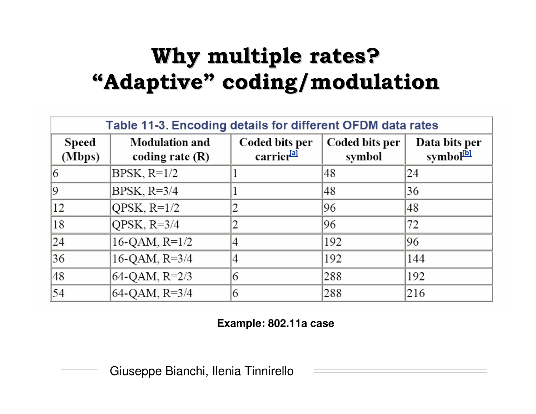### Why multiple rates? "Adaptive" coding/modulation

| Table 11-3. Encoding details for different OFDM data rates |                                            |                                          |                          |                                        |  |  |
|------------------------------------------------------------|--------------------------------------------|------------------------------------------|--------------------------|----------------------------------------|--|--|
| Speed<br>(Mbps)                                            | <b>Modulation and</b><br>coding rate $(R)$ | Coded bits per<br>carrier <sup>[a]</sup> | Coded bits per<br>symbol | Data bits per<br>symbol <sup>[b]</sup> |  |  |
| 6                                                          | $BPSK, R=1/2$                              |                                          | 48                       | 24                                     |  |  |
| 9                                                          | BPSK, $R=3/4$                              |                                          | 48                       | 36                                     |  |  |
| 12                                                         | QPSK, $R=1/2$                              | 2                                        | 96                       | 48                                     |  |  |
| 18                                                         | QPSK, $R=3/4$                              | 2                                        | 96                       | 72                                     |  |  |
| 24                                                         | $16-QAM, R=1/2$                            | 4                                        | 192                      | 96                                     |  |  |
| 36                                                         | 16-QAM, R=3/4                              | 4                                        | 192                      | 144                                    |  |  |
| 48                                                         | 64-QAM, R=2/3                              | 6                                        | 288                      | 192                                    |  |  |
| 54                                                         | 64-QAM, R=3/4                              | 6                                        | 288                      | 216                                    |  |  |

#### Example: 802.11a case

Giuseppe Bianchi, Ilenia Tinnirello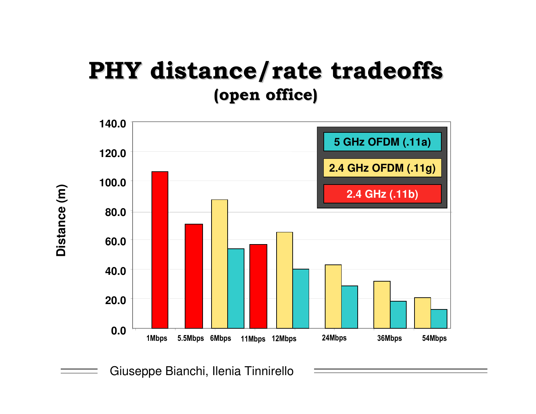### **PHY distance/rate tradeoffs** (open office)



Giuseppe Bianchi, Ilenia Tinnirello

Distance (m)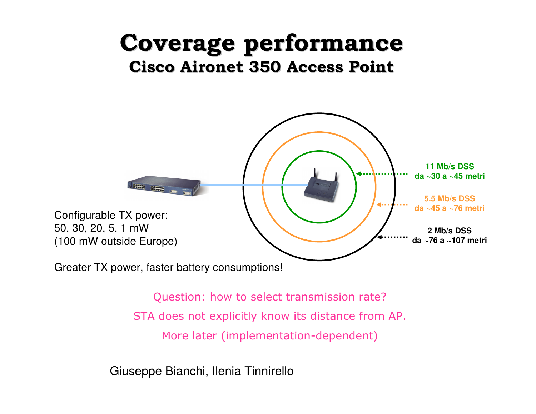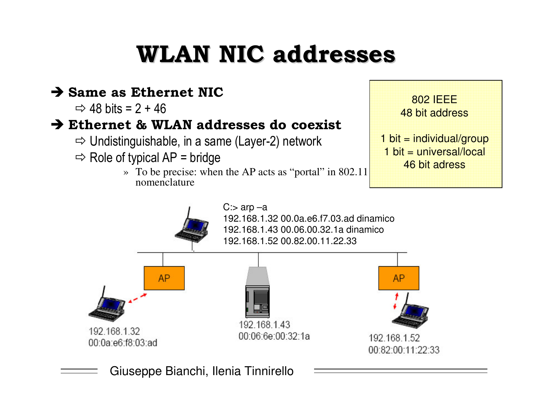# **WLAN NIC addresses**

#### $\rightarrow$  Same as Ethernet NIC

 $\Rightarrow$  48 bits = 2 + 46

#### $\rightarrow$  Ethernet & WLAN addresses do coexist

 $\Rightarrow$  Undistinguishable, in a same (Layer-2) network

- $\Rightarrow$  Role of typical AP = bridge
	- » To be precise: when the AP acts as "portal" in 802.11 nomenclature



1 bit = individual/group  $1$  bit = universal/local 46 bit adress

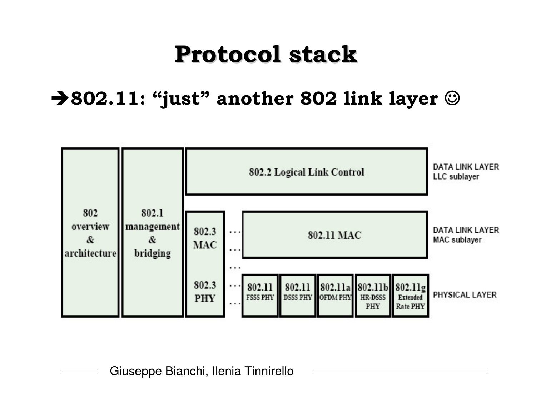## **Protocol stack**

 $\rightarrow$  802.11: "just" another 802 link layer  $\odot$ 

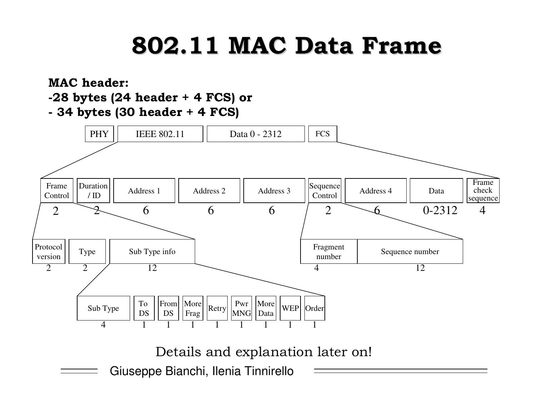# 802.11 MAC Data Frame

#### **MAC** header:

#### -28 bytes (24 header + 4 FCS) or

- 34 bytes (30 header + 4 FCS)



Details and explanation later on!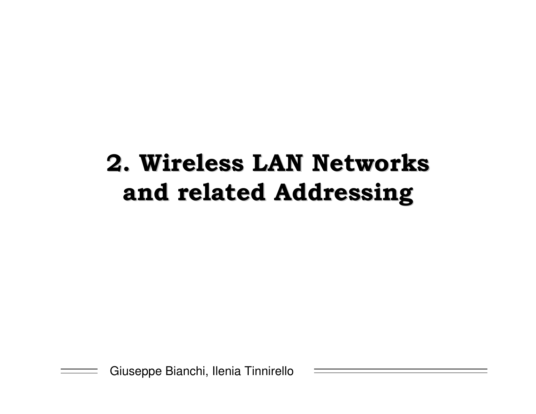# 2. Wireless LAN Networks and related Addressing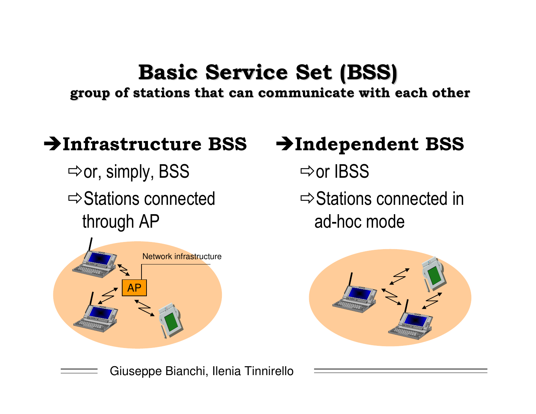### Basic Service Set (BSS)

group of stations that can communicate with each other

#### $\rightarrow$ Infrastructure BSS

 $\Rightarrow$ or, simply, BSS  $\Rightarrow$  Stations connected through AP



### $\rightarrow$ Independent BSS

- $\Rightarrow$ or IBSS
- $\Rightarrow$  Stations connected in ad-hoc mode

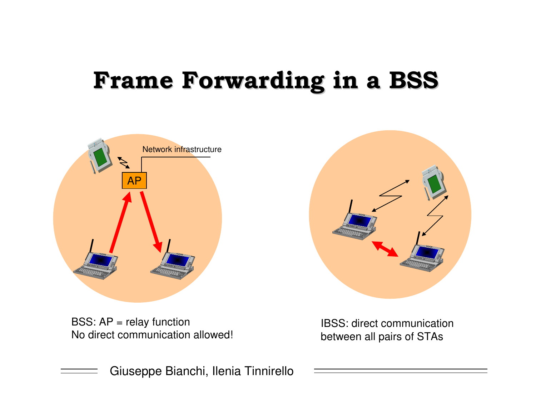## Frame Forwarding in a BSS



BSS: AP <sup>=</sup> relay function No direct communication allowed!



IBSS: direct communicationbetween all pairs of STAs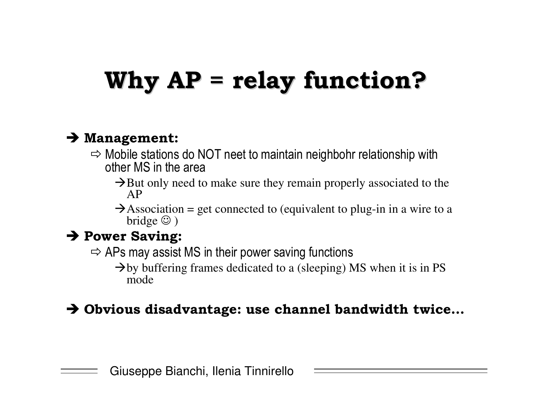# Why  $AP =$  relay function?

#### $\rightarrow$  Management:

- $\Rightarrow$  Mobile stations do NOT neet to maintain neighbohr relationship with i other MS in the area
	- $\rightarrow$  But only need to make sure they remain properly associated to the AP
	- $\rightarrow$  Association = get connected to (equivalent to plug-in in a wire to a bridge  $\odot$ )

#### $\rightarrow$  Power Saving:

- $\Rightarrow$  APs may assist MS in their power saving functions i
	- $\rightarrow$  by buffering frames dedicated to a (sleeping) MS when it is in PS mode

#### $\rightarrow$  Obvious disadvantage: use channel bandwidth twice...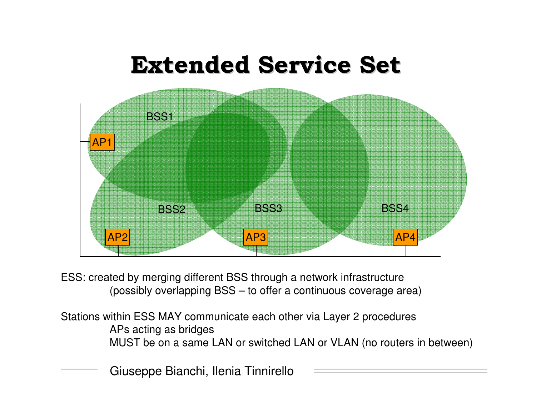

ESS: created by merging different BSS through <sup>a</sup> network infrastructure (possibly overlapping BSS – to offer <sup>a</sup> continuous coverage area)

Stations within ESS MAY communicate each other via Layer 2 procedures APs acting as bridges MUST be on a same LAN or switched LAN or VLAN (no routers in between)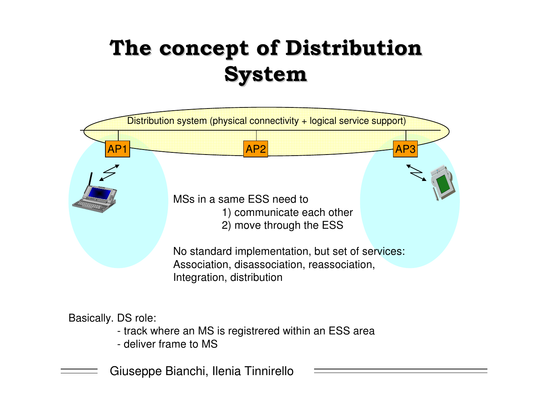## The concept of Distribution **System**



#### Basically. DS role:

- track where an MS is registrered within an ESS area
- deliver frame to MS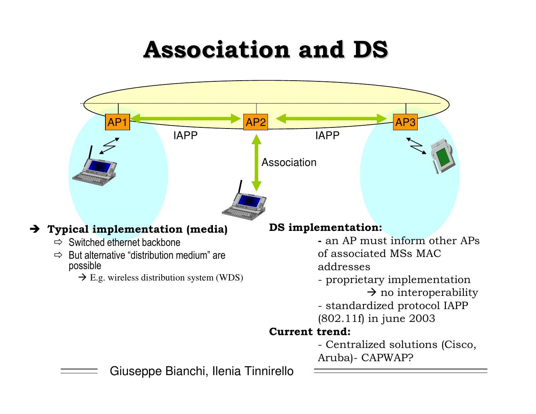## **Association and DS**

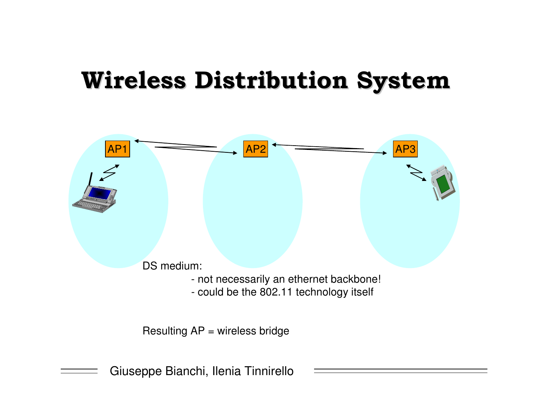### Wireless Distribution System

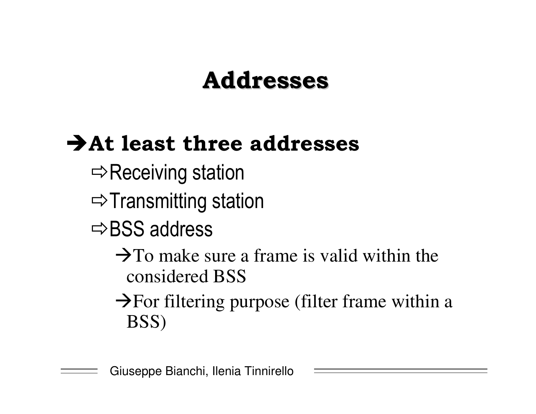## **Addresses**

### $\rightarrow$  At least three addresses

- $\Rightarrow$  Receiving station İ
- ⇨Transmitting station
- $\Rightarrow$ BSS address
	- $\rightarrow$ To make sure a frame is valid within the considered BSS
	- $\rightarrow$  For filtering purpose (filter frame within a BSS)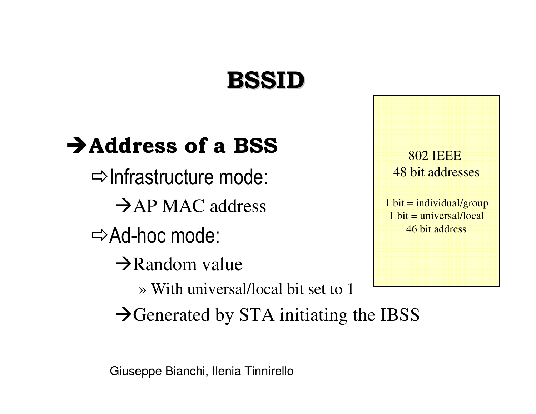## **BSSID**

### $\rightarrow$  Address of a BSS

 $\Rightarrow$  Infrastructure mode & $\rightarrow$ AP MAC address

⇔Ad-hoc mode &

 $\rightarrow$ Random value

» With universal/local bit set to 1

 $\rightarrow$ Generated by STA initiating the IBSS

802 IEEE48 bit addresses

 $1 \text{ bit} = individual/group$  $1 \text{ bit} =$  universal/local 46 bit address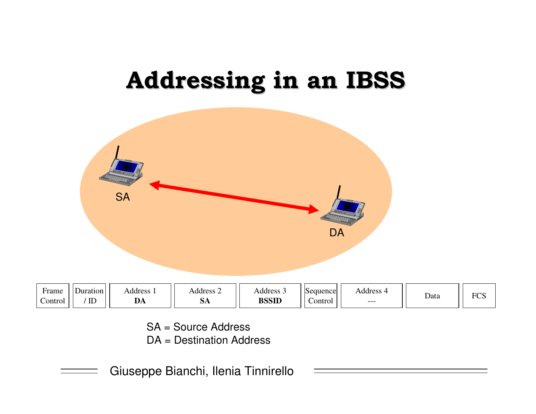## Addressing in an IBSS



| * * * * * * * *<br>$\sim$<br>$\mathsf{Control}$ | <b>TT</b><br>TF | 1.1441<br>பீ | <b>DIA</b> | 1.1441<br>DOOID | ontrol | $1.1441$ $0.00$<br>--- | Data |
|-------------------------------------------------|-----------------|--------------|------------|-----------------|--------|------------------------|------|
|                                                 |                 |              |            |                 |        |                        |      |

SA <sup>=</sup> Source Address

DA <sup>=</sup> Destination Address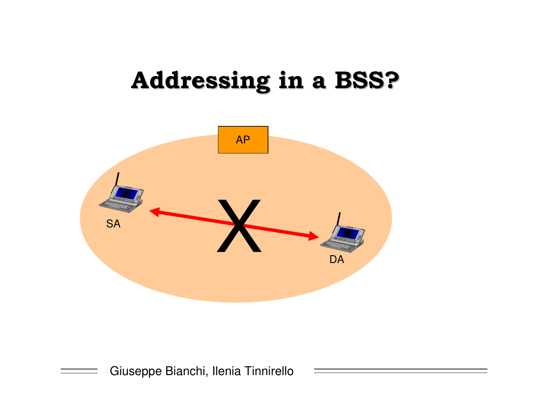## **Addressing in a BSS?**

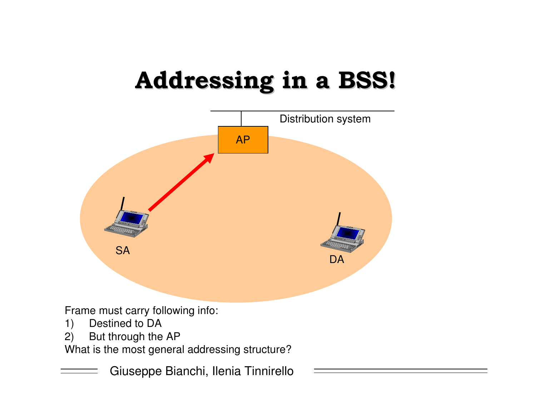# Addressing in a BSS!

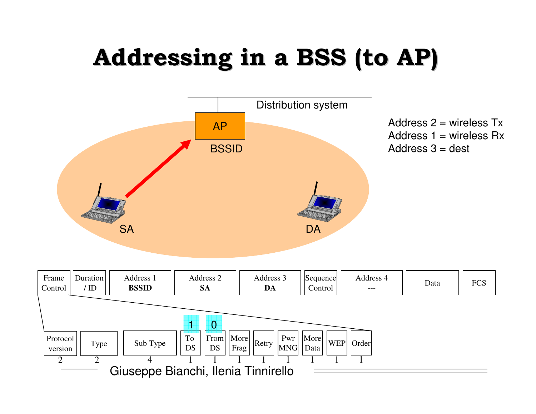# Addressing in a BSS (to AP)

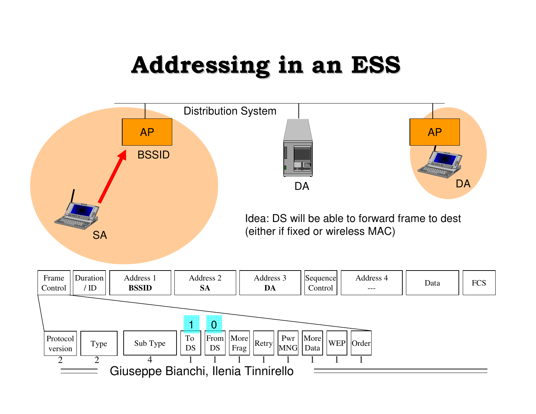# **Addressing in an ESS**

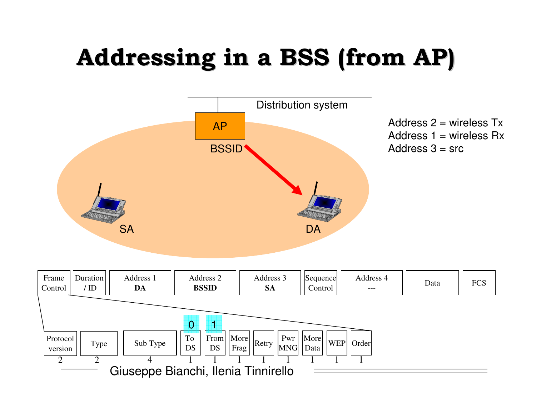# Addressing in a BSS (from AP)

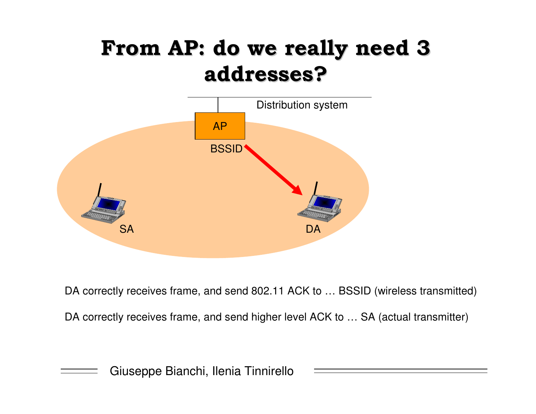### From AP: do we really need 3 **addresses?**



DA correctly receives frame, and send 802.11 ACK to … BSSID (wireless transmitted) DA correctly receives frame, and send higher level ACK to … SA (actual transmitter)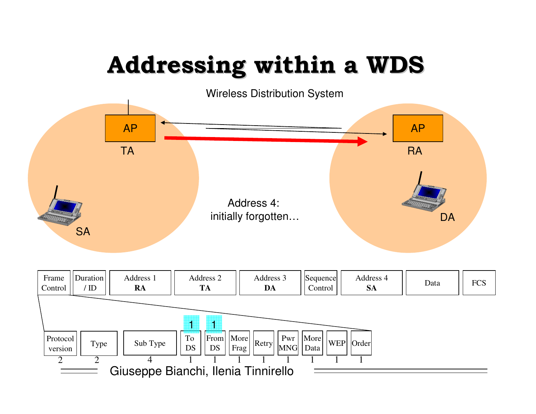# Addressing within a WDS

Wireless Distribution System

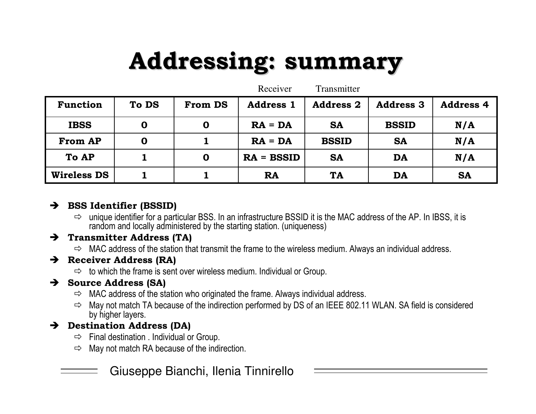# **Addressing: summary**

|                    |                  |                | Receiver         | <b>Transmitter</b> |                  |                  |
|--------------------|------------------|----------------|------------------|--------------------|------------------|------------------|
| Function           | To DS            | <b>From DS</b> | <b>Address 1</b> | <b>Address 2</b>   | <b>Address 3</b> | <b>Address 4</b> |
| <b>IBSS</b>        | O                | O              | $RA = DA$        | <b>SA</b>          | <b>BSSID</b>     | N/A              |
| <b>From AP</b>     | $\boldsymbol{0}$ |                | $RA = DA$        | <b>BSSID</b>       | <b>SA</b>        | N/A              |
| To AP              |                  | $\mathbf 0$    | $RA = BSSID$     | <b>SA</b>          | DA               | N/A              |
| <b>Wireless DS</b> |                  |                | <b>RA</b>        | <b>TA</b>          | DA               | <b>SA</b>        |

#### $\rightarrow$  BSS Identifier (BSSID)

 $\Rightarrow$  unique identifier for a particular BSS. In an infrastructure BSSID it is the MAC address of the AP. In IBSS, it is random and locally administered by the starting station. (uniqueness)

#### $\rightarrow$  Transmitter Address (TA)

 $\Rightarrow$  MAC address of the station that transmit the frame to the wireless medium. Always an individual address.

#### $\rightarrow$  Receiver Address (RA)

 $\Rightarrow$  to which the frame is sent over wireless medium. Individual or Group.

#### $\rightarrow$  Source Address (SA)

- $\Rightarrow$  MAC address of the station who originated the frame. Always individual address.
- $\Rightarrow$  May not match TA because of the indirection performed by DS of an IEEE 802.11 WLAN. SA field is considered by higher layers.

#### $\rightarrow$  Destination Address (DA)

- $\Rightarrow$  Final destination . Individual or Group.
- $\Rightarrow$  May not match RA because of the indirection.
	- Giuseppe Bianchi, Ilenia Tinnirello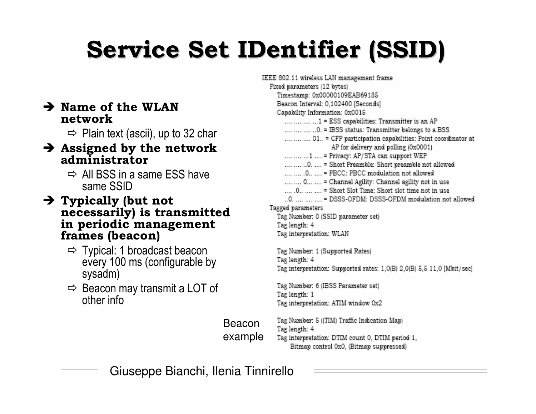# **Service Set IDentifier (SSID)**

#### $\rightarrow$  Name of the WLAN network

 $\Rightarrow$  Plain text (ascii), up to 32 char

#### $\rightarrow$  Assigned by the network administrator

- $\Rightarrow$  All BSS in a same ESS have same SSID
- $\rightarrow$  Typically (but not necessarily) is transmitted in periodic management frames (beacon)
	- $\Rightarrow$  Typical: 1 broadcast beacon every 100 ms (configurable by sysadm)
	- $\Rightarrow$  Beacon may transmit a LOT of other info

IEEE 802.11 wireless LAN management frame Fixed parameters (12 bytes) Timestamp: 0x00000109EAB69185 Beacon Interval: 0,102400 [Seconds] Capability Information: 0x0015 .... .... .... ... 1 = ESS capabilities: Transmitter is an AP .... .... .... ..0. = IBSS status: Transmitter belongs to a BSS .... .... .... 01.. = CFP participation capabilities: Point coordinator at AP for delivery and polling (0x0001) .... .... ... 1 .... = Privacy: AP/STA can support WEP .... .... ..0. .... = Short Preamble: Short preamble not allowed .... .... . 0.. .... = PBCC: PBCC modulation not allowed .... .... 0... .... = Channel Agility: Channel agility not in use ..0. .... .... .... = DSSS-OFDM: DSSS-OFDM modulation not allowed Tagged parameters Tag Number: 0 (SSID parameter set) Tag length: 4 Tag interpretation: WLAN

Tag Number: 1 (Supported Rates) Tag length: 4 Tag interpretation: Supported rates: 1,0(B) 2,0(B) 5,5 11,0 [Mbit/sec]

Tag Number: 6 (IBSS Parameter set) Tag length: 1 Tag interpretation: ATIM window 0x2

Tag Number: 5 ((TIM) Traffic Indication Map) **Beacon** Tag length: 4 example

Tag interpretation: DTIM count 0, DTIM period 1, Bitmap control 0x0, (Bitmap suppressed)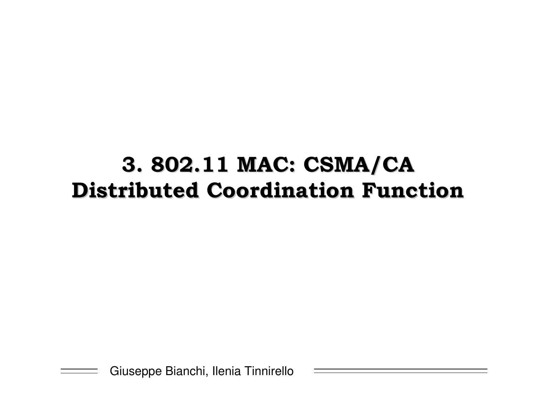### 3. 802.11 MAC: CSMA/CA **Distributed Coordination Function**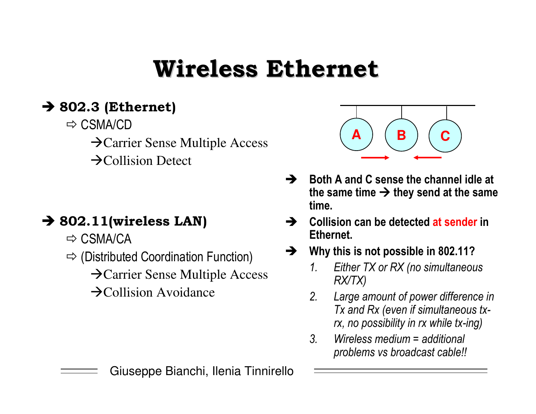## **Wireless Ethernet**

#### $\rightarrow$  802.3 (Ethernet)

- $\Rightarrow$  CSMA/CD
	- $\rightarrow$  Carrier Sense Multiple Access
	- $\rightarrow$ Collision Detect

#### $\rightarrow$  802.11(wireless LAN)

- $\Rightarrow$  CSMA/CA
- $\Rightarrow$  (Distributed Coordination Function)
	- $\rightarrow$  Carrier Sense Multiple Access
	- $\rightarrow$ Collision Avoidance



- $\rightarrow$  Both A and C sense the channel idle at the same time  $\rightarrow$  they send at the same time.
- Collision can be detected at sender in  $\rightarrow$ Ethernet.
- Why this is not possible in 802.11?  $\rightarrow$ 
	- Either TX or RX (no simultaneous  $\mathcal{I}$ .  $RX/TX$
	- $\mathcal{P}$ Large amount of power difference in Tx and Rx (even if simultaneous txrx, no possibility in rx while tx-ing)
	- $\mathcal{S}$ Wireless medium  $=$  additional problems vs broadcast cable!!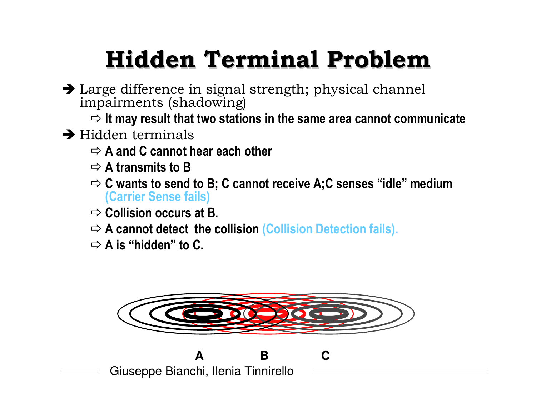# **Hidden Terminal Problem**

- > Large difference in signal strength; physical channel impairments (shadowing)
	- $\Rightarrow$  It may result that two stations in the same area cannot communicate
- $\rightarrow$  Hidden terminals
	- $\Rightarrow$  A and C cannot hear each other
	- $\Rightarrow$  A transmits to B
	- $\Rightarrow$  C wants to send to B; C cannot receive A; C senses "idle" medium (Carrier Sense fails)
	- $\Rightarrow$  Collision occurs at B.
	- $\Rightarrow$  A cannot detect the collision (Collision Detection fails).
	- $\Rightarrow$  A is "hidden" to C.



B.

 $\mathbf C$ 

Giuseppe Bianchi, Ilenia Tinnirello

 $\blacktriangle$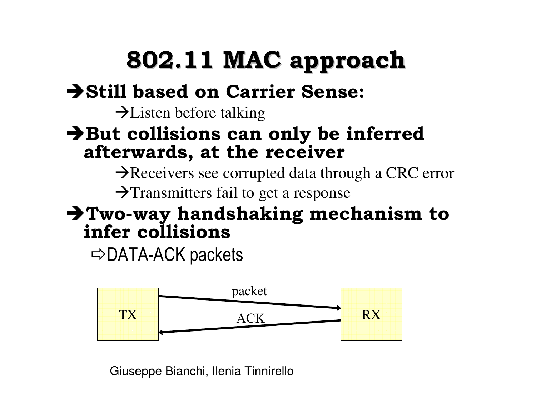# 802.11 MAC approach

#### Still based on Carrier Sense:

 $\rightarrow$  Listen before talking

#### But collisions can only be inferred afterwards, at the receiver

Areceivers see corrupted data through a CRC error  $\rightarrow$ Transmitters fail to get a response

#### $\rightarrow$  Two-way handshaking mechanism to infer collisions

 $\Rightarrow$  DATA-ACK packets

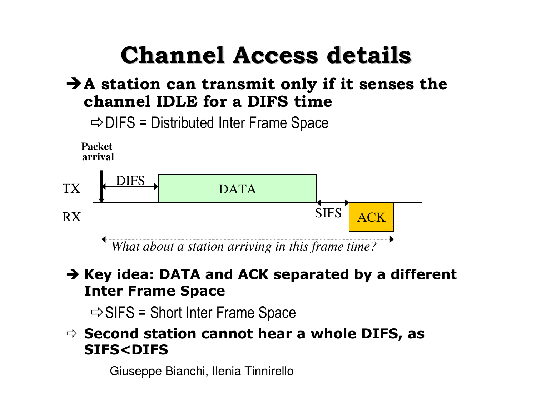# **Channel Access details**

#### $\bigtriangledown$ A station can transmit only if it senses the channel IDLE for a DIFS time



#### $\rightarrow$  Key idea: DATA and ACK separated by a different **Inter Frame Space**

 $\Rightarrow$  SIFS = Short Inter Frame Space

 $\Rightarrow$  Second station cannot hear a whole DIFS, as **SIFS<DIFS**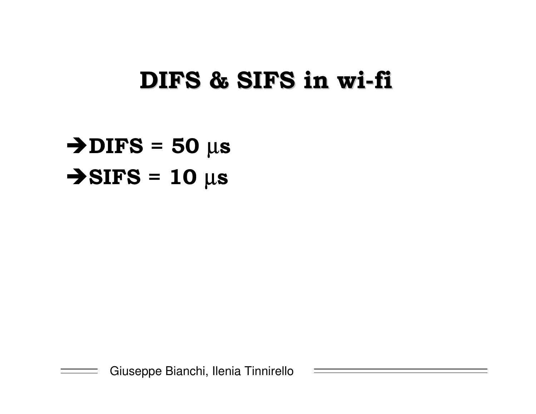### DIFS & SIFS in wi-fi

 $\blacktriangleright$ DIFS = 50  $\mu$ s  $\bigtriangledown$ SIFS = 10  $\mu$ s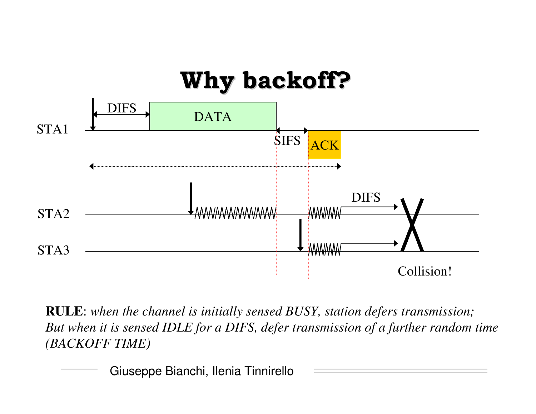

**RULE**: *when the channel is initially sensed BUSY, station defers transmission; But when it is sensed IDLE for <sup>a</sup> DIFS, defer transmission of <sup>a</sup> further random time (BACKOFF TIME)*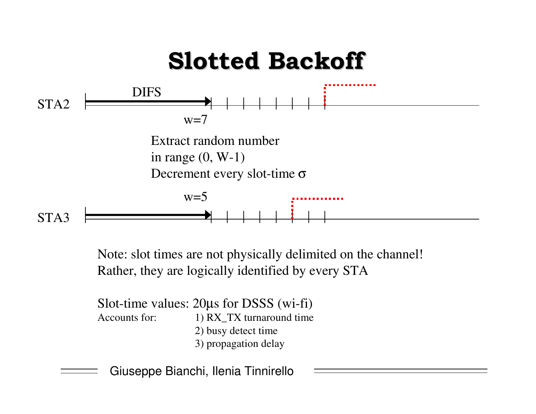

Note: slot times are not physically delimited on the channel! Rather, they are logically identified by every STA

Slot-time values: 20µ<sup>s</sup> for DSSS (wi-fi) Accounts for: 1) RX TX turnaround time 2) busy detect time 3) propagation delay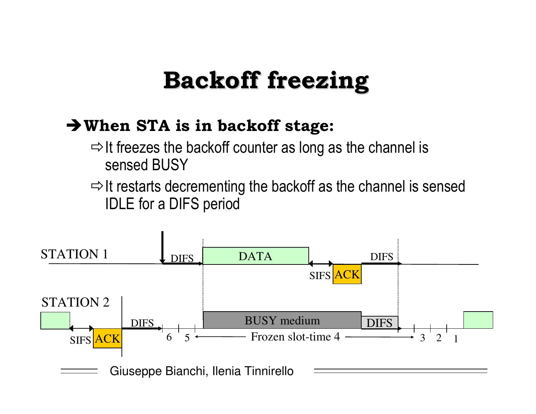## **Backoff freezing**

#### → When STA is in backoff stage:

- $\Rightarrow$  It freezes the backoff counter as long as the channel is sensed BUSY
- $\Rightarrow$  It restarts decrementing the backoff as the channel is sensed **IDLE** for a DIFS period

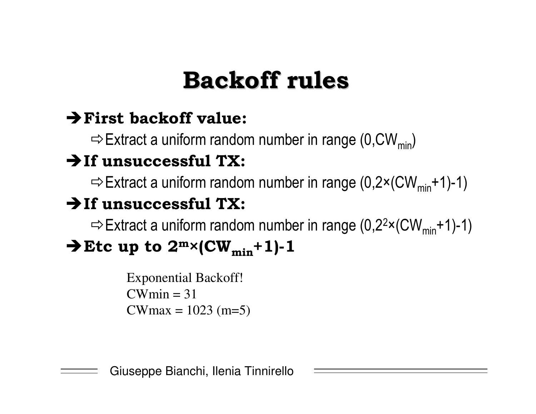# **Backoff rules**

#### $\rightarrow$  First backoff value:

 $\Rightarrow$  Extract a uniform random number in range (0, CW<sub>min</sub>)

#### $\rightarrow$  If unsuccessful TX:

 $\Rightarrow$  Extract a uniform random number in range (0,2×(CW<sub>min</sub>+1)-1)

#### $\rightarrow$  If unsuccessful TX:

 $\Rightarrow$  Extract a uniform random number in range (0,2<sup>2</sup>×(CW<sub>min</sub>+1)-1)

### $\rightarrow$  Etc up to  $2^m \times (CW_{min} + 1) - 1$

**Exponential Backoff!**  $CWmin = 31$ CWmax =  $1023$  (m=5)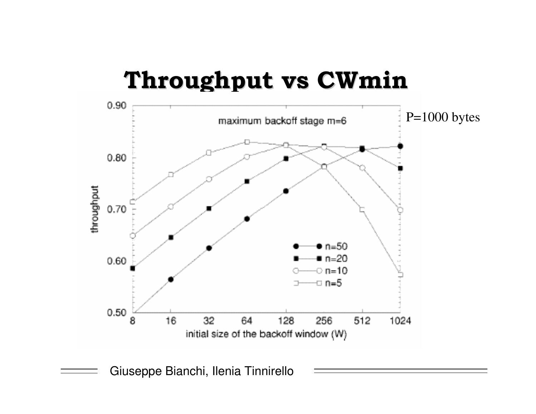### Throughput vs CWmin

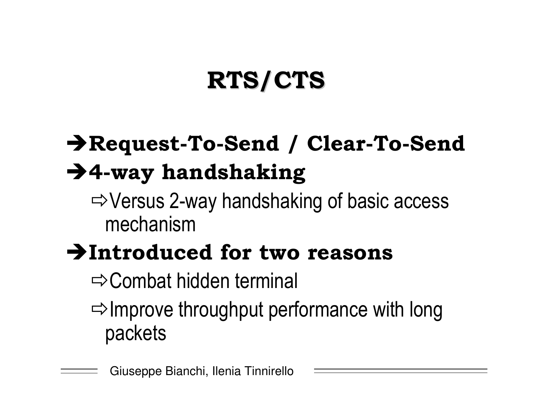# **RTS/CTS**

## Request-To-Send / Clear-To-Send  $\rightarrow$  4-way handshaking

 $\Rightarrow$  Versus 2-way handshaking of basic access mechanism

## >Introduced for two reasons

 $\Rightarrow$  Combat hidden terminal

 $\Rightarrow$  Improve throughput performance with long packets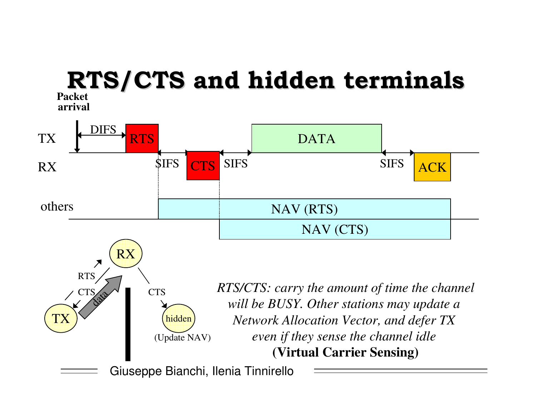#### **Packet**RTS/CTS and hidden terminals

**arrival**

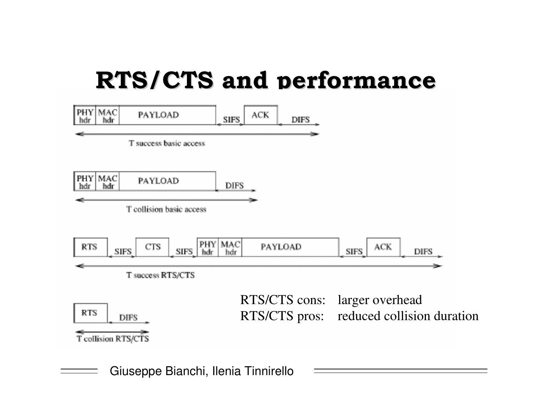## **RTS/CTS and performance**

| PHY MAC<br>PAYLOAD<br>hdr<br>hdr                                       | <b>ACK</b><br><b>SIFS</b><br><b>DIFS</b> |                                                                           |
|------------------------------------------------------------------------|------------------------------------------|---------------------------------------------------------------------------|
| T success basic access                                                 |                                          |                                                                           |
| <b>MAC</b><br>PHY<br>PAYLOAD<br>hdr<br>hdr<br>T collision basic access | <b>DIFS</b>                              |                                                                           |
| PHY<br><b>CTS</b><br><b>RTS</b><br><b>SIFS</b><br>SIFS.<br>hdr         | <b>MAC</b><br>PAYLOAD<br>hdr             | <b>ACK</b><br><b>SIFS</b><br><b>DIFS</b>                                  |
| T success RTS/CTS                                                      |                                          |                                                                           |
| <b>RTS</b><br><b>DIFS</b><br>Teollision RTS/CTS                        |                                          | RTS/CTS cons: larger overhead<br>RTS/CTS pros: reduced collision duration |
|                                                                        |                                          |                                                                           |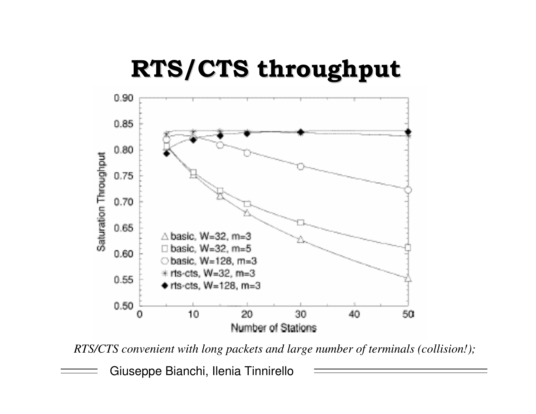

*RTS/CTS convenient with long packets and large number of terminals (collision!);*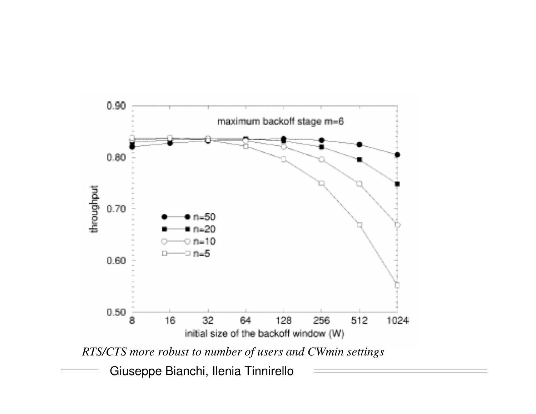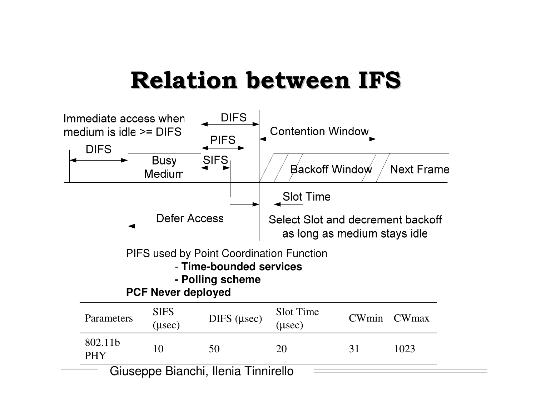## Relation between IFS

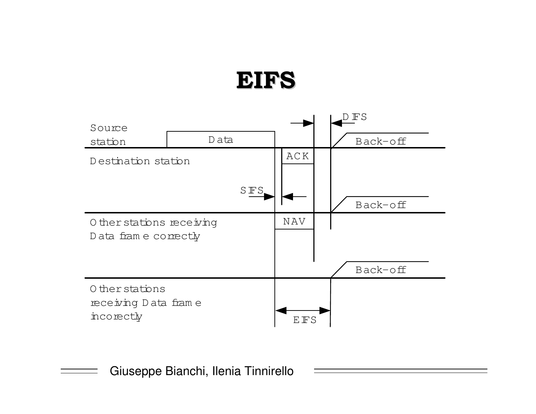### **EIFS**

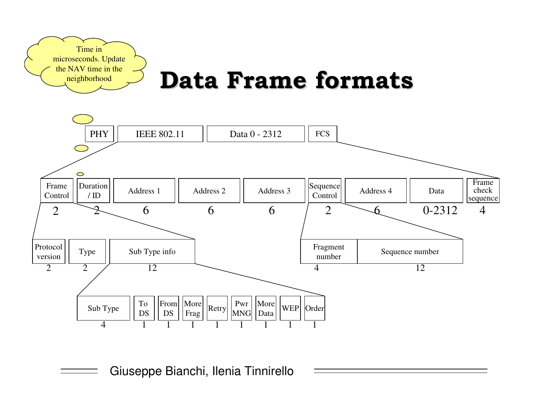

## **Data Frame formats**

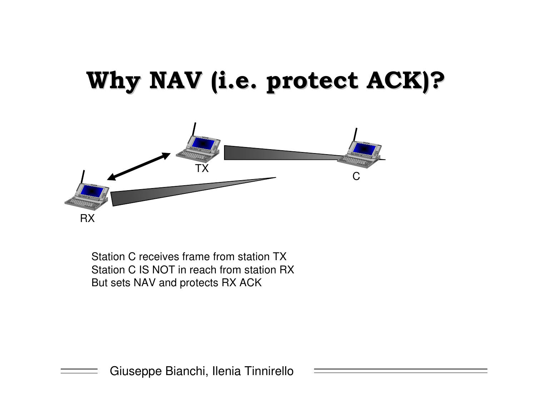## Why NAV (i.e. protect ACK)?



Station C receives frame from station TX Station C IS NOT in reach from station RX But sets NAV and protects RX ACK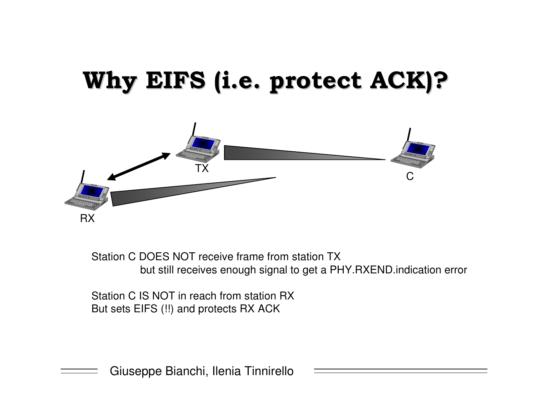# Why EIFS (i.e. protect ACK)?



Station C DOES NOT receive frame from station TX but still receives enough signal to get <sup>a</sup> PHY.RXEND.indication error

Station C IS NOT in reach from station RX But sets EIFS (!!) and protects RX ACK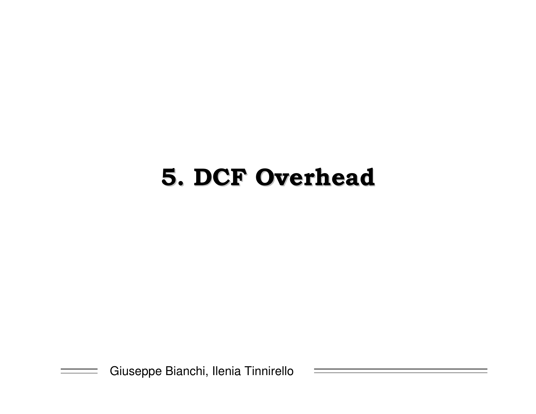## **5. DCF Overhead**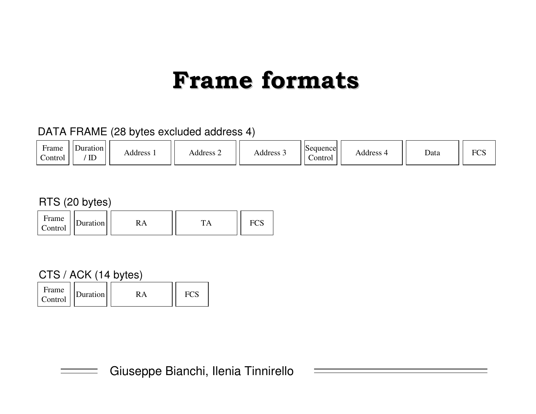## **Frame formats**

#### DATA FRAME (28 bytes excluded address 4)

| ∹rame<br>Control | Duration<br>$\mathbb{D}$ | <b>Address</b> | Address 2 | Address $\sim$ | Sequence<br>control_ | <b>Address</b> | Data | $\mathbf{r}$<br>нι |
|------------------|--------------------------|----------------|-----------|----------------|----------------------|----------------|------|--------------------|
|------------------|--------------------------|----------------|-----------|----------------|----------------------|----------------|------|--------------------|

#### RTS (20 bytes)

| Frame<br>Control | Juration |  | m | . UL |
|------------------|----------|--|---|------|
|------------------|----------|--|---|------|

#### CTS / ACK (14 bytes)

| Frame<br>Duration<br>Control |  |  |
|------------------------------|--|--|
|------------------------------|--|--|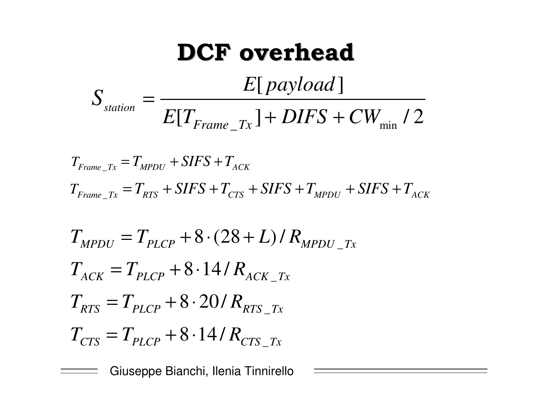**DCF overhead**  

$$
S_{station} = \frac{E[payload]}{E[T_{Frame\_Tx}] + DIFS + CW_{min} / 2}
$$

 $T_{Frame\_Tx} = T_{MPDU} + SIFS + T_{ACK}$  $T_{Frame\_Tx} = T_{RTS} + SIFS + T_{CTS} + SIFS + T_{MPDU} + SIFS + T_{ACK}$ 

$$
T_{MPDU} = T_{PLCP} + 8 \cdot (28 + L) / R_{MPDU\_Tx}
$$
  
\n
$$
T_{ACK} = T_{PLCP} + 8 \cdot 14 / R_{ACK\_Tx}
$$
  
\n
$$
T_{RTS} = T_{PLCP} + 8 \cdot 20 / R_{RTS\_Tx}
$$
  
\n
$$
T_{CTS} = T_{PLCP} + 8 \cdot 14 / R_{CTS\_Tx}
$$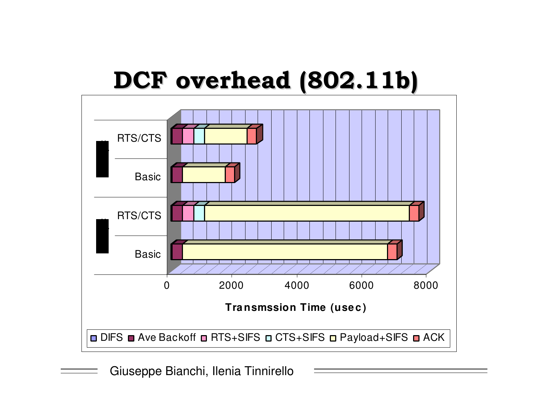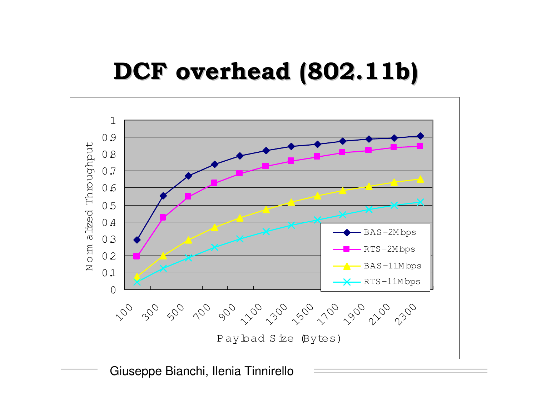## DCF overhead (802.11b)

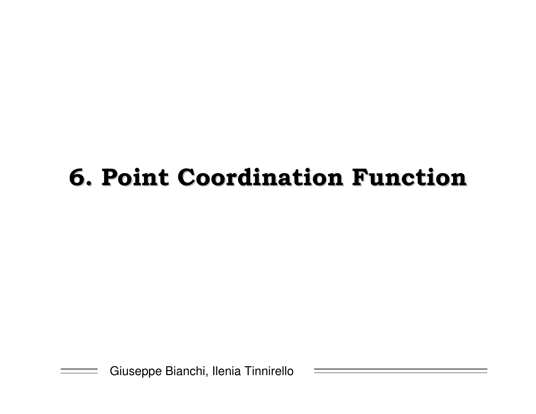# **6. Point Coordination Function**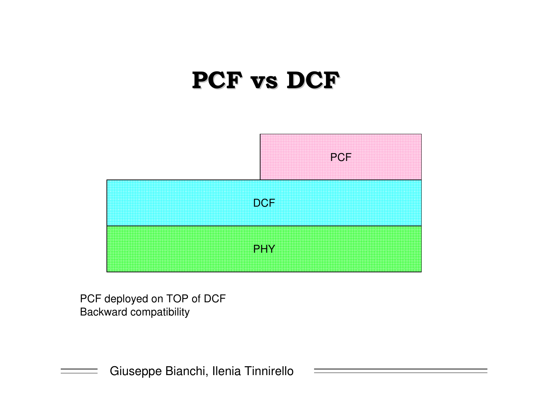### PCF vs DCF



PCF deployed on TOP of DCF Backward compatibility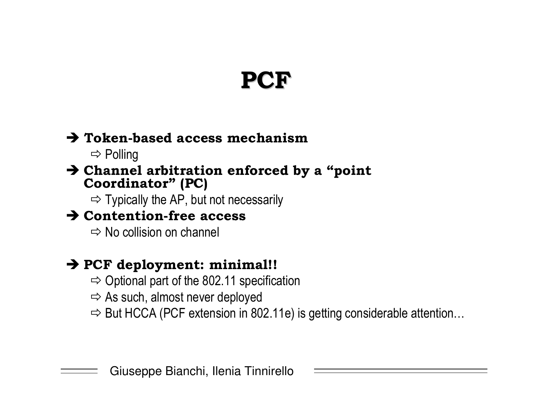## PCF

#### > Token-based access mechanism

 $\Rightarrow$  Polling

#### > Channel arbitration enforced by a "point" **Coordinator" (PC)**

 $\Rightarrow$  Typically the AP, but not necessarily

#### $\rightarrow$  Contention-free access

 $\Rightarrow$  No collision on channel

#### > PCF deployment: minimal!!

- $\Rightarrow$  Optional part of the 802.11 specification
- $\Rightarrow$  As such, almost never deployed
- $\Rightarrow$  But HCCA (PCF extension in 802.11e) is getting considerable attention...